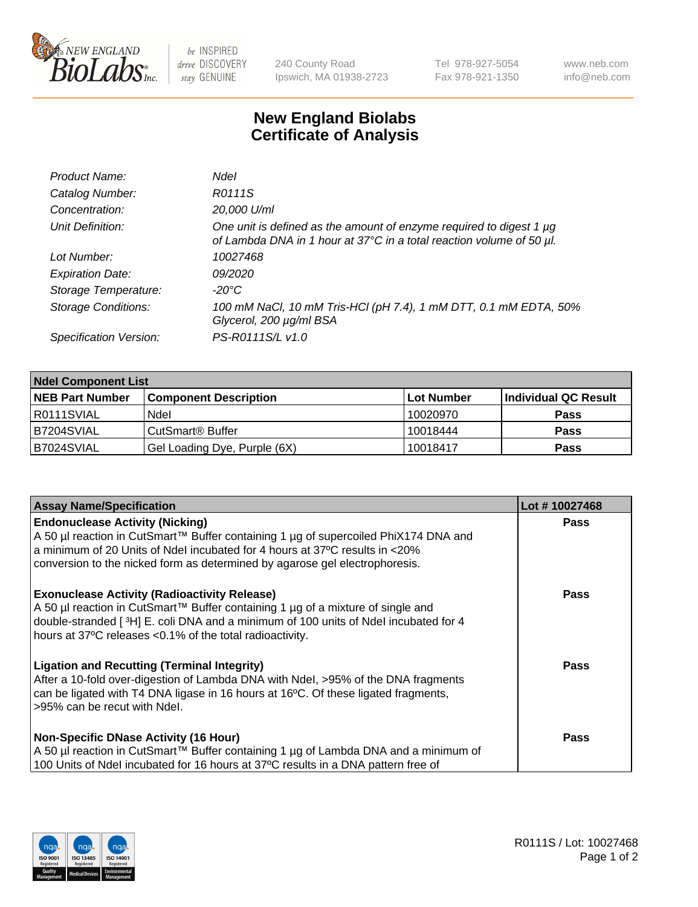

 $be$  INSPIRED drive DISCOVERY stay GENUINE

240 County Road Ipswich, MA 01938-2723 Tel 978-927-5054 Fax 978-921-1350 www.neb.com info@neb.com

## **New England Biolabs Certificate of Analysis**

| Product Name:              | <b>Ndel</b>                                                                                                                                      |
|----------------------------|--------------------------------------------------------------------------------------------------------------------------------------------------|
| Catalog Number:            | R0111S                                                                                                                                           |
| Concentration:             | 20,000 U/ml                                                                                                                                      |
| Unit Definition:           | One unit is defined as the amount of enzyme required to digest 1 $\mu$ g<br>of Lambda DNA in 1 hour at 37°C in a total reaction volume of 50 µl. |
| Lot Number:                | 10027468                                                                                                                                         |
| <b>Expiration Date:</b>    | 09/2020                                                                                                                                          |
| Storage Temperature:       | -20°C                                                                                                                                            |
| <b>Storage Conditions:</b> | 100 mM NaCl, 10 mM Tris-HCl (pH 7.4), 1 mM DTT, 0.1 mM EDTA, 50%<br>Glycerol, 200 µg/ml BSA                                                      |
| Specification Version:     | PS-R0111S/L v1.0                                                                                                                                 |

| <b>Ndel Component List</b> |                              |            |                      |  |  |
|----------------------------|------------------------------|------------|----------------------|--|--|
| <b>NEB Part Number</b>     | <b>Component Description</b> | Lot Number | Individual QC Result |  |  |
| R0111SVIAL                 | Ndel                         | 10020970   | <b>Pass</b>          |  |  |
| B7204SVIAL                 | CutSmart <sup>®</sup> Buffer | 10018444   | <b>Pass</b>          |  |  |
| B7024SVIAL                 | Gel Loading Dye, Purple (6X) | 10018417   | <b>Pass</b>          |  |  |

| <b>Assay Name/Specification</b>                                                                                                                                                                                                                                                             | Lot #10027468 |
|---------------------------------------------------------------------------------------------------------------------------------------------------------------------------------------------------------------------------------------------------------------------------------------------|---------------|
| <b>Endonuclease Activity (Nicking)</b><br>A 50 µl reaction in CutSmart™ Buffer containing 1 µg of supercoiled PhiX174 DNA and                                                                                                                                                               | <b>Pass</b>   |
| a minimum of 20 Units of Ndel incubated for 4 hours at 37°C results in <20%<br>conversion to the nicked form as determined by agarose gel electrophoresis.                                                                                                                                  |               |
| <b>Exonuclease Activity (Radioactivity Release)</b><br>  A 50 µl reaction in CutSmart™ Buffer containing 1 µg of a mixture of single and<br>double-stranded [3H] E. coli DNA and a minimum of 100 units of Ndel incubated for 4<br>hours at 37°C releases <0.1% of the total radioactivity. | Pass          |
| <b>Ligation and Recutting (Terminal Integrity)</b><br>After a 10-fold over-digestion of Lambda DNA with Ndel, >95% of the DNA fragments<br>can be ligated with T4 DNA ligase in 16 hours at 16 $\degree$ C. Of these ligated fragments,<br>l >95% can be recut with Ndel.                   | Pass          |
| <b>Non-Specific DNase Activity (16 Hour)</b><br>A 50 µl reaction in CutSmart™ Buffer containing 1 µg of Lambda DNA and a minimum of<br>100 Units of Ndel incubated for 16 hours at 37°C results in a DNA pattern free of                                                                    | Pass          |